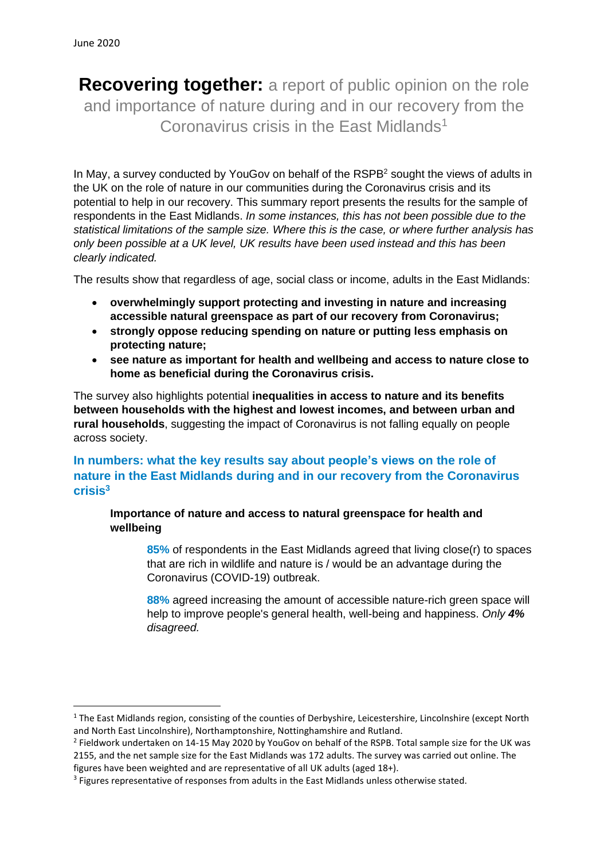**Recovering together:** a report of public opinion on the role and importance of nature during and in our recovery from the Coronavirus crisis in the East Midlands<sup>1</sup>

In May, a survey conducted by YouGoy on behalf of the RSPB<sup>2</sup> sought the views of adults in the UK on the role of nature in our communities during the Coronavirus crisis and its potential to help in our recovery. This summary report presents the results for the sample of respondents in the East Midlands. *In some instances, this has not been possible due to the statistical limitations of the sample size. Where this is the case, or where further analysis has only been possible at a UK level, UK results have been used instead and this has been clearly indicated.*

The results show that regardless of age, social class or income, adults in the East Midlands:

- **overwhelmingly support protecting and investing in nature and increasing accessible natural greenspace as part of our recovery from Coronavirus;**
- **strongly oppose reducing spending on nature or putting less emphasis on protecting nature;**
- **see nature as important for health and wellbeing and access to nature close to home as beneficial during the Coronavirus crisis.**

The survey also highlights potential **inequalities in access to nature and its benefits between households with the highest and lowest incomes, and between urban and rural households**, suggesting the impact of Coronavirus is not falling equally on people across society.

# **In numbers: what the key results say about people's views on the role of nature in the East Midlands during and in our recovery from the Coronavirus crisis 3**

**Importance of nature and access to natural greenspace for health and wellbeing**

**85%** of respondents in the East Midlands agreed that living close(r) to spaces that are rich in wildlife and nature is / would be an advantage during the Coronavirus (COVID-19) outbreak.

**88%** agreed increasing the amount of accessible nature-rich green space will help to improve people's general health, well-being and happiness. *Only 4% disagreed.*

<sup>&</sup>lt;sup>1</sup> The East Midlands region, consisting of the counties of Derbyshire, Leicestershire, Lincolnshire (except North and North East Lincolnshire), Northamptonshire, Nottinghamshire and Rutland.

<sup>&</sup>lt;sup>2</sup> Fieldwork undertaken on 14-15 May 2020 by YouGov on behalf of the RSPB. Total sample size for the UK was 2155, and the net sample size for the East Midlands was 172 adults. The survey was carried out online. The figures have been weighted and are representative of all UK adults (aged 18+).

<sup>&</sup>lt;sup>3</sup> Figures representative of responses from adults in the East Midlands unless otherwise stated.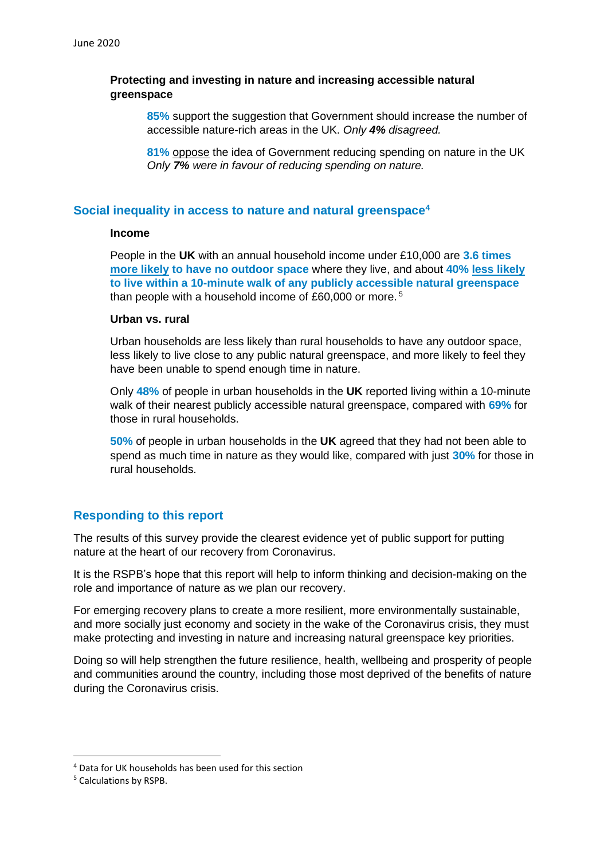### **Protecting and investing in nature and increasing accessible natural greenspace**

**85%** support the suggestion that Government should increase the number of accessible nature-rich areas in the UK. *Only 4% disagreed.*

**81%** oppose the idea of Government reducing spending on nature in the UK *Only 7% were in favour of reducing spending on nature.*

### **Social inequality in access to nature and natural greenspace<sup>4</sup>**

#### **Income**

People in the **UK** with an annual household income under £10,000 are **3.6 times more likely to have no outdoor space** where they live, and about **40% less likely to live within a 10-minute walk of any publicly accessible natural greenspace** than people with a household income of £60,000 or more. <sup>5</sup>

### **Urban vs. rural**

Urban households are less likely than rural households to have any outdoor space, less likely to live close to any public natural greenspace, and more likely to feel they have been unable to spend enough time in nature.

Only **48%** of people in urban households in the **UK** reported living within a 10-minute walk of their nearest publicly accessible natural greenspace, compared with **69%** for those in rural households.

**50%** of people in urban households in the **UK** agreed that they had not been able to spend as much time in nature as they would like, compared with just **30%** for those in rural households.

## **Responding to this report**

The results of this survey provide the clearest evidence yet of public support for putting nature at the heart of our recovery from Coronavirus.

It is the RSPB's hope that this report will help to inform thinking and decision-making on the role and importance of nature as we plan our recovery.

For emerging recovery plans to create a more resilient, more environmentally sustainable, and more socially just economy and society in the wake of the Coronavirus crisis, they must make protecting and investing in nature and increasing natural greenspace key priorities.

Doing so will help strengthen the future resilience, health, wellbeing and prosperity of people and communities around the country, including those most deprived of the benefits of nature during the Coronavirus crisis.

<sup>4</sup> Data for UK households has been used for this section

<sup>5</sup> Calculations by RSPB.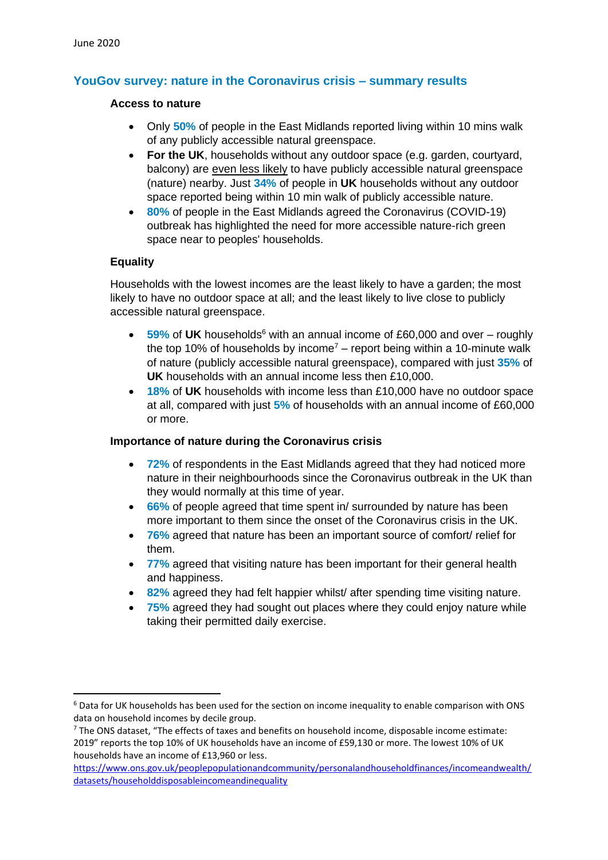# **YouGov survey: nature in the Coronavirus crisis – summary results**

#### **Access to nature**

- Only **50%** of people in the East Midlands reported living within 10 mins walk of any publicly accessible natural greenspace.
- **For the UK**, households without any outdoor space (e.g. garden, courtyard, balcony) are even less likely to have publicly accessible natural greenspace (nature) nearby. Just **34%** of people in **UK** households without any outdoor space reported being within 10 min walk of publicly accessible nature.
- **80%** of people in the East Midlands agreed the Coronavirus (COVID-19) outbreak has highlighted the need for more accessible nature-rich green space near to peoples' households.

### **Equality**

Households with the lowest incomes are the least likely to have a garden; the most likely to have no outdoor space at all; and the least likely to live close to publicly accessible natural greenspace.

- 59% of UK households<sup>6</sup> with an annual income of £60,000 and over roughly the top 10% of households by income<sup>7</sup> – report being within a 10-minute walk of nature (publicly accessible natural greenspace), compared with just **35%** of **UK** households with an annual income less then £10,000.
- **18%** of **UK** households with income less than £10,000 have no outdoor space at all, compared with just **5%** of households with an annual income of £60,000 or more.

### **Importance of nature during the Coronavirus crisis**

- **72%** of respondents in the East Midlands agreed that they had noticed more nature in their neighbourhoods since the Coronavirus outbreak in the UK than they would normally at this time of year.
- **66%** of people agreed that time spent in/ surrounded by nature has been more important to them since the onset of the Coronavirus crisis in the UK.
- **76%** agreed that nature has been an important source of comfort/ relief for them.
- **77%** agreed that visiting nature has been important for their general health and happiness.
- **82%** agreed they had felt happier whilst/ after spending time visiting nature.
- **75%** agreed they had sought out places where they could enjoy nature while taking their permitted daily exercise.

<sup>&</sup>lt;sup>6</sup> Data for UK households has been used for the section on income inequality to enable comparison with ONS data on household incomes by decile group.

 $7$  The ONS dataset, "The effects of taxes and benefits on household income, disposable income estimate: 2019" reports the top 10% of UK households have an income of £59,130 or more. The lowest 10% of UK households have an income of £13,960 or less.

[https://www.ons.gov.uk/peoplepopulationandcommunity/personalandhouseholdfinances/incomeandwealth/](https://www.ons.gov.uk/peoplepopulationandcommunity/personalandhouseholdfinances/incomeandwealth/datasets/householddisposableincomeandinequality) [datasets/householddisposableincomeandinequality](https://www.ons.gov.uk/peoplepopulationandcommunity/personalandhouseholdfinances/incomeandwealth/datasets/householddisposableincomeandinequality)